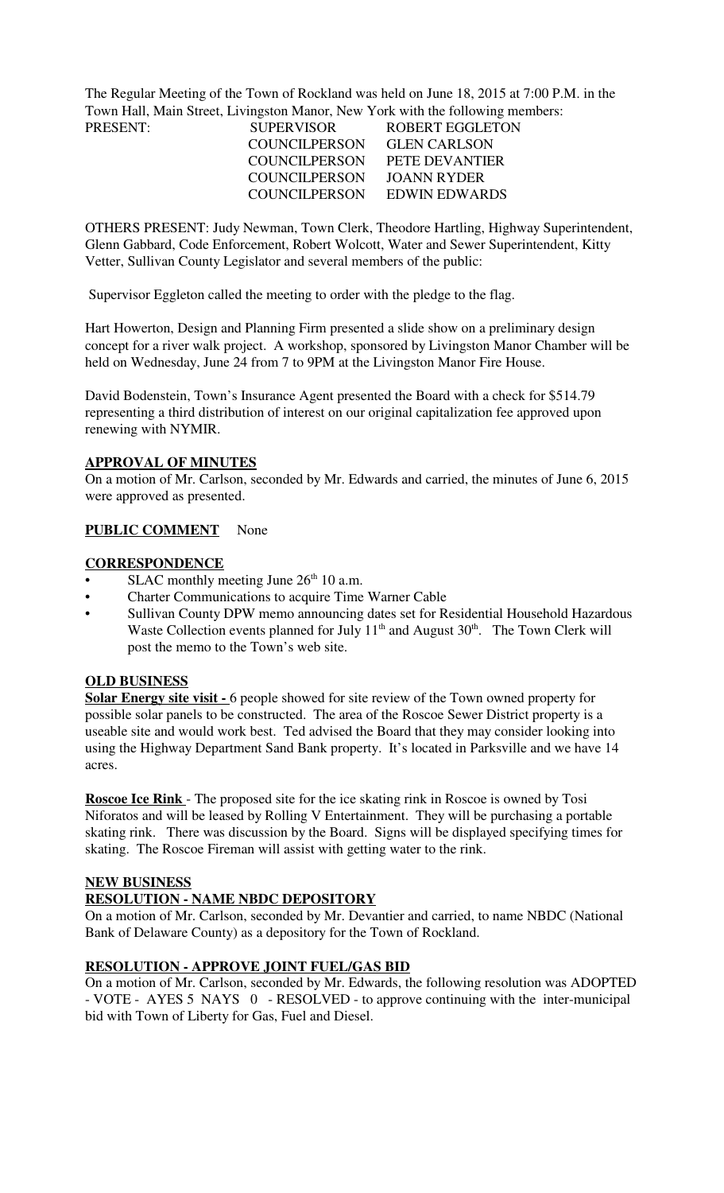The Regular Meeting of the Town of Rockland was held on June 18, 2015 at 7:00 P.M. in the Town Hall, Main Street, Livingston Manor, New York with the following members:

| PRESENT: | <b>SUPERVISOR</b>    | ROBERT EGGLETON     |
|----------|----------------------|---------------------|
|          | <b>COUNCILPERSON</b> | <b>GLEN CARLSON</b> |
|          | COUNCILPERSON        | PETE DEVANTIER      |
|          | <b>COUNCILPERSON</b> | JOANN RYDER         |
|          | COUNCILPERSON        | EDWIN EDWARDS       |

OTHERS PRESENT: Judy Newman, Town Clerk, Theodore Hartling, Highway Superintendent, Glenn Gabbard, Code Enforcement, Robert Wolcott, Water and Sewer Superintendent, Kitty Vetter, Sullivan County Legislator and several members of the public:

Supervisor Eggleton called the meeting to order with the pledge to the flag.

Hart Howerton, Design and Planning Firm presented a slide show on a preliminary design concept for a river walk project. A workshop, sponsored by Livingston Manor Chamber will be held on Wednesday, June 24 from 7 to 9PM at the Livingston Manor Fire House.

David Bodenstein, Town's Insurance Agent presented the Board with a check for \$514.79 representing a third distribution of interest on our original capitalization fee approved upon renewing with NYMIR.

### **APPROVAL OF MINUTES**

On a motion of Mr. Carlson, seconded by Mr. Edwards and carried, the minutes of June 6, 2015 were approved as presented.

### **PUBLIC COMMENT** None

### **CORRESPONDENCE**

- SLAC monthly meeting June  $26<sup>th</sup> 10$  a.m.
- Charter Communications to acquire Time Warner Cable
- Sullivan County DPW memo announcing dates set for Residential Household Hazardous Waste Collection events planned for July  $11<sup>th</sup>$  and August  $30<sup>th</sup>$ . The Town Clerk will post the memo to the Town's web site.

#### **OLD BUSINESS**

**<u>Solar Energy site visit - 6</u>** people showed for site review of the Town owned property for possible solar panels to be constructed. The area of the Roscoe Sewer District property is a useable site and would work best. Ted advised the Board that they may consider looking into using the Highway Department Sand Bank property. It's located in Parksville and we have 14 acres.

**Roscoe Ice Rink** - The proposed site for the ice skating rink in Roscoe is owned by Tosi Niforatos and will be leased by Rolling V Entertainment. They will be purchasing a portable skating rink. There was discussion by the Board. Signs will be displayed specifying times for skating. The Roscoe Fireman will assist with getting water to the rink.

#### **NEW BUSINESS**

### **RESOLUTION - NAME NBDC DEPOSITORY**

On a motion of Mr. Carlson, seconded by Mr. Devantier and carried, to name NBDC (National Bank of Delaware County) as a depository for the Town of Rockland.

### **RESOLUTION - APPROVE JOINT FUEL/GAS BID**

On a motion of Mr. Carlson, seconded by Mr. Edwards, the following resolution was ADOPTED - VOTE - AYES 5 NAYS 0 - RESOLVED - to approve continuing with the inter-municipal bid with Town of Liberty for Gas, Fuel and Diesel.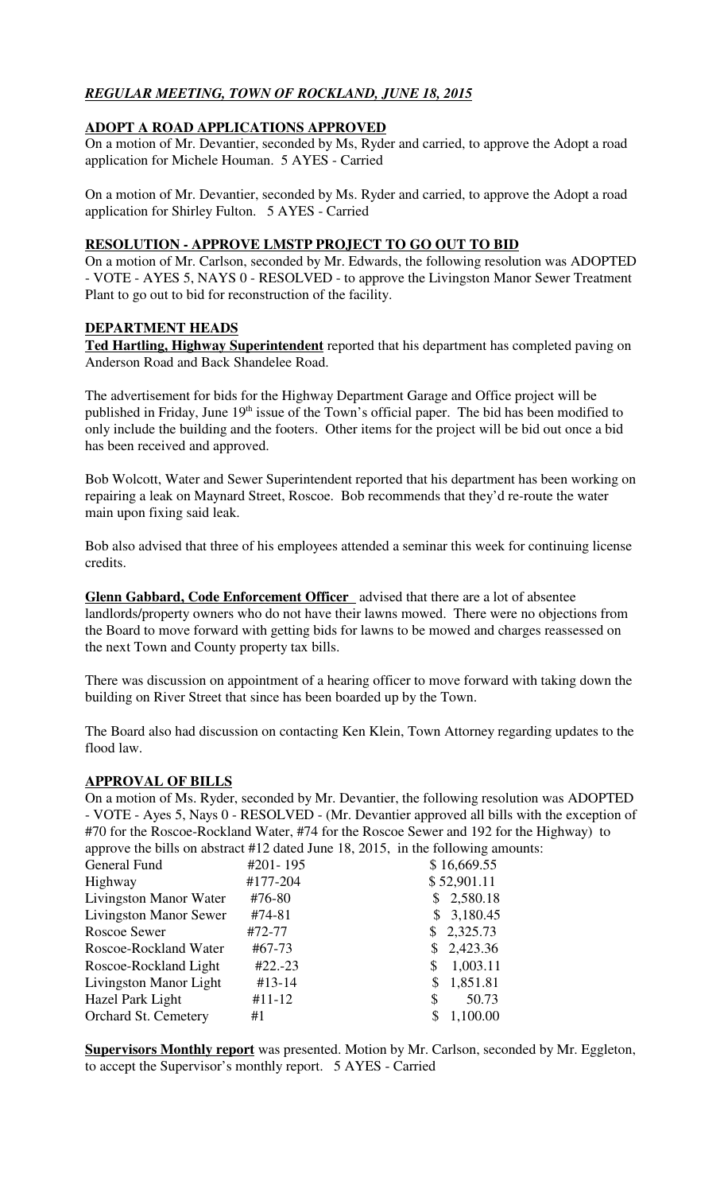# *REGULAR MEETING, TOWN OF ROCKLAND, JUNE 18, 2015*

## **ADOPT A ROAD APPLICATIONS APPROVED**

On a motion of Mr. Devantier, seconded by Ms, Ryder and carried, to approve the Adopt a road application for Michele Houman. 5 AYES - Carried

On a motion of Mr. Devantier, seconded by Ms. Ryder and carried, to approve the Adopt a road application for Shirley Fulton. 5 AYES - Carried

### **RESOLUTION - APPROVE LMSTP PROJECT TO GO OUT TO BID**

On a motion of Mr. Carlson, seconded by Mr. Edwards, the following resolution was ADOPTED - VOTE - AYES 5, NAYS 0 - RESOLVED - to approve the Livingston Manor Sewer Treatment Plant to go out to bid for reconstruction of the facility.

### **DEPARTMENT HEADS**

**Ted Hartling, Highway Superintendent** reported that his department has completed paving on Anderson Road and Back Shandelee Road.

The advertisement for bids for the Highway Department Garage and Office project will be published in Friday, June 19<sup>th</sup> issue of the Town's official paper. The bid has been modified to only include the building and the footers. Other items for the project will be bid out once a bid has been received and approved.

Bob Wolcott, Water and Sewer Superintendent reported that his department has been working on repairing a leak on Maynard Street, Roscoe. Bob recommends that they'd re-route the water main upon fixing said leak.

Bob also advised that three of his employees attended a seminar this week for continuing license credits.

**Glenn Gabbard, Code Enforcement Officer** advised that there are a lot of absentee landlords/property owners who do not have their lawns mowed. There were no objections from the Board to move forward with getting bids for lawns to be mowed and charges reassessed on the next Town and County property tax bills.

There was discussion on appointment of a hearing officer to move forward with taking down the building on River Street that since has been boarded up by the Town.

The Board also had discussion on contacting Ken Klein, Town Attorney regarding updates to the flood law.

### **APPROVAL OF BILLS**

On a motion of Ms. Ryder, seconded by Mr. Devantier, the following resolution was ADOPTED - VOTE - Ayes 5, Nays 0 - RESOLVED - (Mr. Devantier approved all bills with the exception of #70 for the Roscoe-Rockland Water, #74 for the Roscoe Sewer and 192 for the Highway) to approve the bills on abstract #12 dated June 18, 2015, in the following amounts:

| General Fund                  | #201-195   | \$16,669.55    |
|-------------------------------|------------|----------------|
| Highway                       | #177-204   | \$52,901.11    |
| Livingston Manor Water        | #76-80     | \$2,580.18     |
| <b>Livingston Manor Sewer</b> | #74-81     | \$3,180.45     |
| Roscoe Sewer                  | #72-77     | \$2,325.73     |
| Roscoe-Rockland Water         | #67-73     | \$2,423.36     |
| Roscoe-Rockland Light         | $#22.-23$  | 1,003.11<br>\$ |
| Livingston Manor Light        | $#13-14$   | 1,851.81<br>S  |
| Hazel Park Light              | $#11 - 12$ | 50.73<br>S     |
| Orchard St. Cemetery          | #1         | 1,100.00       |

**Supervisors Monthly report** was presented. Motion by Mr. Carlson, seconded by Mr. Eggleton, to accept the Supervisor's monthly report. 5 AYES - Carried